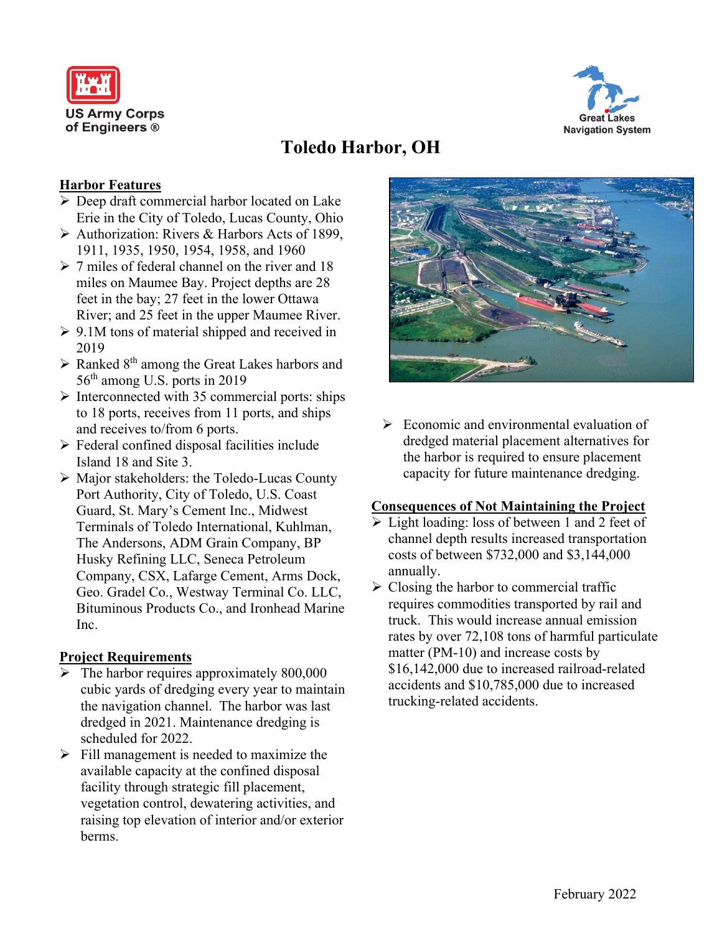



# **Toledo Harbor, OH**

## **Harbor Features**

- ➢ Deep draft commercial harbor located on Lake Erie in the City of Toledo, Lucas County, Ohio
- ➢ Authorization: Rivers & Harbors Acts of 1899, 1911, 1935, 1950, 1954, 1958, and 1960
- ➢ 7 miles of federal channel on the river and 18 miles on Maumee Bay. Project depths are 28 feet in the bay; 27 feet in the lower Ottawa River; and 25 feet in the upper Maumee River.
- $\geq 9.1M$  tons of material shipped and received in 2019
- $\triangleright$  Ranked 8<sup>th</sup> among the Great Lakes harbors and 56<sup>th</sup> among U.S. ports in 2019
- ➢ Interconnected with 35 commercial ports: ships to 18 ports, receives from 11 ports, and ships and receives to/from 6 ports.
- ➢ Federal confined disposal facilities include Island 18 and Site 3.
- ➢ Major stakeholders: the Toledo-Lucas County Port Authority, City of Toledo, U.S. Coast Guard, St. Mary's Cement Inc., Midwest Terminals of Toledo International, Kuhlman, The Andersons, ADM Grain Company, BP Husky Refining LLC, Seneca Petroleum Company, CSX, Lafarge Cement, Arms Dock, Geo. Gradel Co., Westway Terminal Co. LLC, Bituminous Products Co., and Ironhead Marine Inc.

## **Project Requirements**

- $\blacktriangleright$  The harbor requires approximately 800,000 cubic yards of dredging every year to maintain the navigation channel. The harbor was last dredged in 2021. Maintenance dredging is scheduled for 2022.
- $\triangleright$  Fill management is needed to maximize the available capacity at the confined disposal facility through strategic fill placement, vegetation control, dewatering activities, and raising top elevation of interior and/or exterior berms.



 $\triangleright$  Economic and environmental evaluation of dredged material placement alternatives for the harbor is required to ensure placement capacity for future maintenance dredging.

## **Consequences of Not Maintaining the Project**

- ➢ Light loading: loss of between 1 and 2 feet of channel depth results increased transportation costs of between \$732,000 and \$3,144,000 annually.
- $\triangleright$  Closing the harbor to commercial traffic requires commodities transported by rail and truck. This would increase annual emission rates by over 72,108 tons of harmful particulate matter (PM-10) and increase costs by \$16,142,000 due to increased railroad-related accidents and \$10,785,000 due to increased trucking-related accidents.